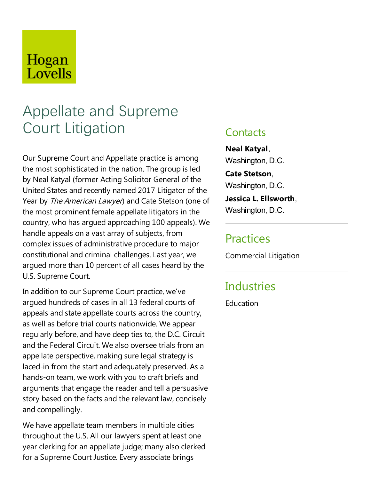# Hogan Lovells

# Appellate and Supreme Court Litigation

Our Supreme Court and Appellate practice is among the most sophisticated in the nation.The group is led by Neal Katyal (former Acting Solicitor General of the United States and recently named 2017 Litigator of the Year by The American Lawyer) and Cate Stetson (one of the most prominent female appellate litigators in the country, who has argued approaching 100 appeals). We handle appeals on a vast array of subjects, from complex issues of administrative procedure to major constitutional and criminal challenges.Lastyear, we argued more than 10 percent of all cases heard by the U.S. Supreme Court.

In addition to our Supreme Court practice, we've argued hundreds of cases in all 13 federal courts of appeals and state appellate courts across the country, as well as before trial courts nationwide. We appear regularly before, and have deep ties to, the D.C. Circuit and the Federal Circuit. We also oversee trials from an appellate perspective, making surelegal strategy is laced-in from the start and adequately preserved. As a hands-on team, we work with you to craft briefs and arguments that engage the reader and tell a persuasive story based on the facts and the relevant law, concisely and compellingly.

We have appellate team members in multiple cities throughout the U.S. All our lawyers spent at least one year clerking for an appellate judge; many also clerked for a Supreme Court Justice. Every associate brings

### **Contacts**

**Neal Katyal**, Washington, D.C.

**Cate Stetson**, Washington, D.C.

**Jessica L. Ellsworth**, Washington, D.C.

## **Practices**

Commercial Litigation

# **Industries**

**Education**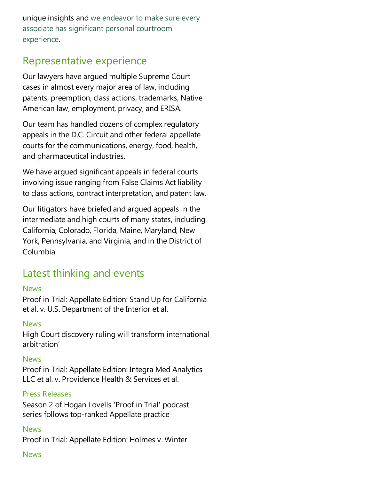unique insights and we endeavor to make sure every associate has significant personal courtroom experience.

## Representative experience

Our lawyers have argued multiple Supreme Court cases in almost every major area of law, including patents, preemption, class actions, trademarks, Native American law, employment, privacy, and ERISA.

Our team has handled dozens of complex regulatory appeals in the D.C. Circuit and other federal appellate courts for the communications, energy, food, health, and pharmaceutical industries.

We have argued significant appeals in federal courts involving issue ranging from False Claims Act liability to class actions, contract interpretation, and patent law.

Our litigators have briefed and argued appeals in the intermediate and high courts of many states, including California, Colorado, Florida, Maine, Maryland, New York, Pennsylvania, and Virginia, and in the District of Columbia.

# Latest thinking and events

#### **News**

Proof in Trial: Appellate Edition: Stand Up for California et al. v. U.S. Department of the Interior et al.

#### News

High Court discovery ruling will transform international arbitration'

#### News

Proof in Trial: Appellate Edition: Integra Med Analytics LLC et al. v. Providence Health & Services et al.

#### Press Releases

Season 2 of Hogan Lovells 'Proof in Trial' podcast series follows top-ranked Appellate practice

#### News

Proof in Trial: Appellate Edition: Holmes v. Winter

#### News